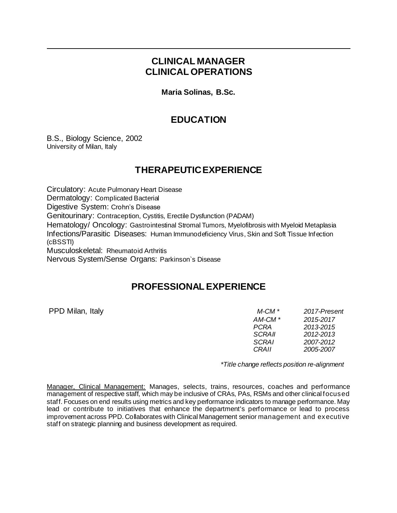### **CLINICAL MANAGER CLINICAL OPERATIONS**

**Maria Solinas, B.Sc.**

#### **EDUCATION**

B.S., Biology Science, 2002 University of Milan, Italy

## **THERAPEUTIC EXPERIENCE**

Circulatory: Acute Pulmonary Heart Disease Dermatology: Complicated Bacterial Digestive System: Crohn's Disease Genitourinary: Contraception, Cystitis, Erectile Dysfunction (PADAM) Hematology/ Oncology: Gastrointestinal Stromal Tumors, Myelofibrosis with Myeloid Metaplasia Infections/Parasitic Diseases: Human Immunodeficiency Virus, Skin and Soft Tissue Infection (cBSSTI) Musculoskeletal: Rheumatoid Arthritis Nervous System/Sense Organs: Parkinson`s Disease

#### **PROFESSIONAL EXPERIENCE**

PPD Milan, Italy *M-CM \* 2017-Present AM-CM \* 2015-2017 PCRA 2013-2015 SCRAII 2012-2013 SCRAI 2007-2012 CRAII 2005-2007*

 *\*Title change reflects position re-alignment*

Manager, Clinical Management: Manages, selects, trains, resources, coaches and performance management of respective staff, which may be inclusive of CRAs, PAs, RSMs and other clinical focused staff. Focuses on end results using metrics and key performance indicators to manage performance. May lead or contribute to initiatives that enhance the department's performance or lead to process improvement across PPD. Collaborates with Clinical Management senior management and executive staff on strategic planning and business development as required.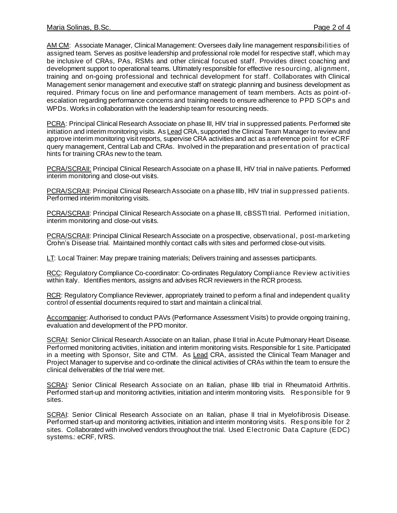AM CM: Associate Manager, Clinical Management: Oversees daily line management responsibilities of assigned team. Serves as positive leadership and professional role model for respective staff, which may be inclusive of CRAs, PAs, RSMs and other clinical focused staff. Provides direct coaching and development support to operational teams. Ultimately responsible for effective resourcing, alignment, training and on-going professional and technical development for staff. Collaborates with Clinical Management senior management and executive staff on strategic planning and business development as required. Primary focus on line and performance management of team members. Acts as point-ofescalation regarding performance concerns and training needs to ensure adherence to PPD SOPs and WPDs. Works in collaboration with the leadership team for resourcing needs.

PCRA: Principal Clinical Research Associate on phase III, HIV trial in suppressed patients. Performed site initiation and interim monitoring visits. As Lead CRA, supported the Clinical Team Manager to review and approve interim monitoring visit reports, supervise CRA activities and act as a reference point for eCRF query management, Central Lab and CRAs. Involved in the preparation and presentation of practical hints for training CRAs new to the team.

PCRA/SCRAII: Principal Clinical Research Associate on a phase III, HIV trial in naïve patients. Performed interim monitoring and close-out visits.

PCRA/SCRAII: Principal Clinical Research Associate on a phase IIIb, HIV trial in suppressed patients. Performed interim monitoring visits.

PCRA/SCRAII: Principal Clinical Research Associate on a phase III, cBSSTI trial. Performed initiation, interim monitoring and close-out visits.

PCRA/SCRAII: Principal Clinical Research Associate on a prospective, observational, post-marketing Crohn's Disease trial. Maintained monthly contact calls with sites and performed close-out visits.

LT: Local Trainer: May prepare training materials; Delivers training and assesses participants.

RCC: Regulatory Compliance Co-coordinator: Co-ordinates Regulatory Compliance Review activities within Italy. Identifies mentors, assigns and advises RCR reviewers in the RCR process.

RCR: Regulatory Compliance Reviewer, appropriately trained to perform a final and independent quality control of essential documents required to start and maintain a clinical trial.

Accompanier: Authorised to conduct PAVs (Performance Assessment Visits) to provide ongoing training, evaluation and development of the PPD monitor.

SCRAI: Senior Clinical Research Associate on an Italian, phase II trial in Acute Pulmonary Heart Disease. Performed monitoring activities, initiation and interim monitoring visits. Responsible for 1 site. Participated in a meeting with Sponsor, Site and CTM. As Lead CRA, assisted the Clinical Team Manager and Project Manager to supervise and co-ordinate the clinical activities of CRAs within the team to ensure the clinical deliverables of the trial were met.

SCRAI*:* Senior Clinical Research Associate on an Italian, phase IIIb trial in Rheumatoid Arthritis. Performed start-up and monitoring activities, initiation and interim monitoring visits. Responsible for 9 sites.

SCRAI: Senior Clinical Research Associate on an Italian, phase II trial in Myelofibrosis Disease. Performed start-up and monitoring activities, initiation and interim monitoring visits. Responsible for 2 sites. Collaborated with involved vendors throughout the trial. Used Electronic Data Capture (EDC) systems.: eCRF, IVRS.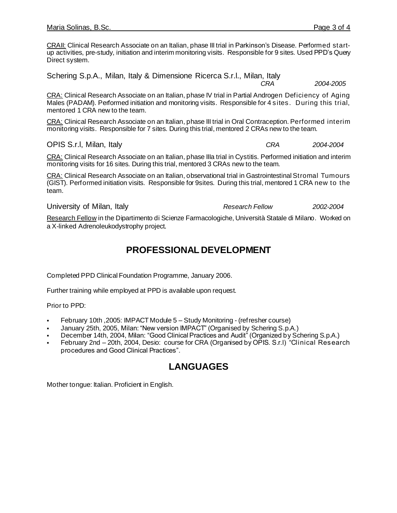CRAII: Clinical Research Associate on an Italian, phase III trial in Parkinson's Disease. Performed startup activities, pre-study, initiation and interim monitoring visits. Responsible for 9 sites. Used PPD's Query Direct system.

Schering S.p.A., Milan, Italy & Dimensione Ricerca S.r.l., Milan, Italy

 *CRA 2004-2005*

CRA: Clinical Research Associate on an Italian, phase IV trial in Partial Androgen Deficiency of Aging Males (PADAM). Performed initiation and monitoring visits. Responsible for 4 sites. During this trial, mentored 1 CRA new to the team.

CRA: Clinical Research Associate on an Italian, phase III trial in Oral Contraception. Performed interim monitoring visits. Responsible for 7 sites. During this trial, mentored 2 CRAs new to the team.

OPIS S.r.l, Milan, Italy *CRA 2004-2004*

CRA: Clinical Research Associate on an Italian, phase IIIa trial in Cystitis. Performed initiation and interim monitoring visits for 16 sites. During this trial, mentored 3 CRAs new to the team.

CRA: Clinical Research Associate on an Italian, observational trial in Gastrointestinal Stromal Tumours (GIST). Performed initiation visits. Responsible for 9sites. During this trial, mentored 1 CRA new to the team.

University of Milan, Italy *Research Fellow 2002-2004*

Research Fellow in the Dipartimento di Scienze Farmacologiche, Università Statale di Milano. Worked on a X-linked Adrenoleukodystrophy project.

#### **PROFESSIONAL DEVELOPMENT**

Completed PPD Clinical Foundation Programme, January 2006.

Further training while employed at PPD is available upon request.

Prior to PPD:

- February 10th, 2005: IMPACT Module 5 Study Monitoring (refresher course)
- January 25th, 2005, Milan: "New version IMPACT" (Organised by Schering S.p.A.)
- December 14th, 2004, Milan: "Good Clinical Practices and Audit" (Organized by Schering S.p.A.)
- February 2nd 20th, 2004, Desio: course for CRA (Organised by OPIS. S.r.I) "Clinical Research procedures and Good Clinical Practices".

# **LANGUAGES**

Mother tongue: Italian. Proficient in English.